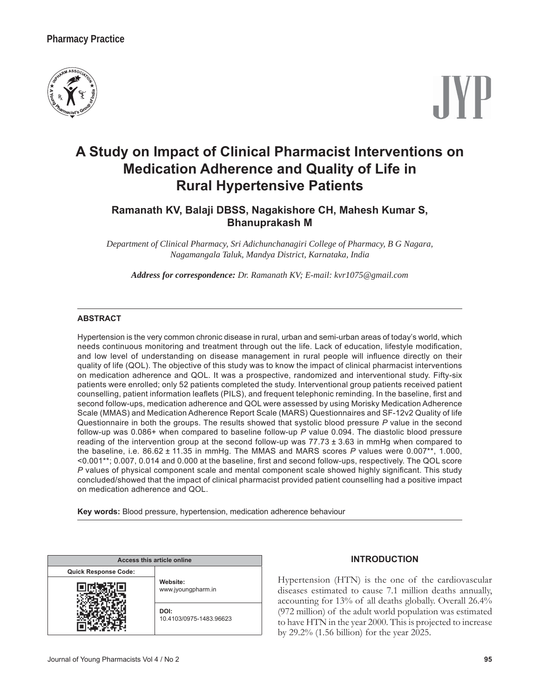## **Pharmacy Practice**



# **A Study on Impact of Clinical Pharmacist Interventions on Medication Adherence and Quality of Life in Rural Hypertensive Patients**

## **Ramanath KV, Balaji DBSS, Nagakishore CH, Mahesh Kumar S, Bhanuprakash M**

*Department of Clinical Pharmacy, Sri Adichunchanagiri College of Pharmacy, B G Nagara, Nagamangala Taluk, Mandya District, Karnataka, India*

*Address for correspondence: Dr. Ramanath KV; E-mail: kvr1075@gmail.com*

#### **ABSTRACT**

Hypertension is the very common chronic disease in rural, urban and semi-urban areas of today's world, which needs continuous monitoring and treatment through out the life. Lack of education, lifestyle modification, and low level of understanding on disease management in rural people will influence directly on their quality of life (QOL). The objective of this study was to know the impact of clinical pharmacist interventions on medication adherence and QOL. It was a prospective, randomized and interventional study. Fifty-six patients were enrolled: only 52 patients completed the study. Interventional group patients received patient counselling, patient information leaflets (PILS), and frequent telephonic reminding. In the baseline, first and second follow-ups, medication adherence and QOL were assessed by using Morisky Medication Adherence Scale (MMAS) and Medication Adherence Report Scale (MARS) Questionnaires and SF-12v2 Quality of life Questionnaire in both the groups. The results showed that systolic blood pressure P value in the second follow-up was 0.086+ when compared to baseline follow-up P value 0.094. The diastolic blood pressure reading of the intervention group at the second follow-up was  $77.73 \pm 3.63$  in mmHg when compared to the baseline, i.e. 86.62 ± 11.35 in mmHg. The MMAS and MARS scores P values were 0.007<sup>\*\*</sup>, 1.000, <0.001\*\*; 0.007, 0.014 and 0.000 at the baseline, first and second follow-ups, respectively. The QOL score *P* values of physical component scale and mental component scale showed highly significant. This study concluded/showed that the impact of clinical pharmacist provided patient counselling had a positive impact on medication adherence and QOL.

**Key words:** Blood pressure, hypertension, medication adherence behaviour

| Access this article online  |                                 |  |
|-----------------------------|---------------------------------|--|
| <b>Quick Response Code:</b> |                                 |  |
|                             | Website:<br>www.jyoungpharm.in  |  |
|                             | DOI:<br>10.4103/0975-1483.96623 |  |

#### **INTRODUCTION**

Hypertension (HTN) is the one of the cardiovascular diseases estimated to cause 7.1 million deaths annually, accounting for 13% of all deaths globally. Overall 26.4% (972 million) of the adult world population was estimated to have HTN in the year 2000. This is projected to increase by 29.2% (1.56 billion) for the year 2025.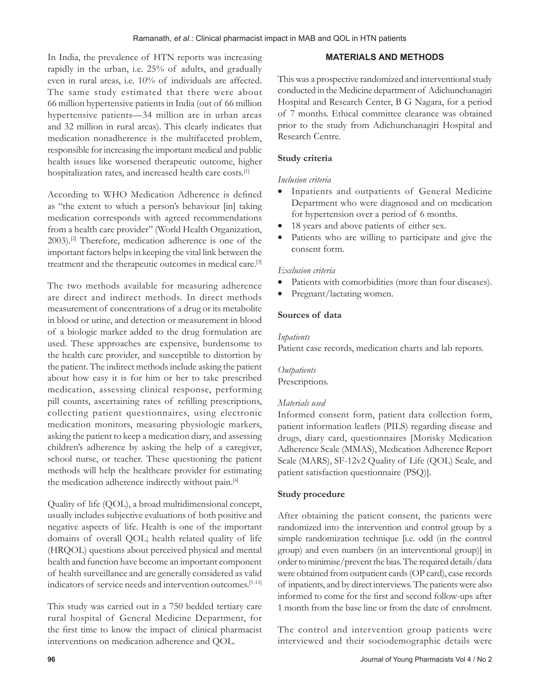In India, the prevalence of HTN reports was increasing rapidly in the urban, i.e. 25% of adults, and gradually even in rural areas, i.e. 10% of individuals are affected. The same study estimated that there were about 66 million hypertensive patients in India (out of 66 million hypertensive patients—34 million are in urban areas and 32 million in rural areas). This clearly indicates that medication nonadherence is the multifaceted problem, responsible for increasing the important medical and public health issues like worsened therapeutic outcome, higher hospitalization rates, and increased health care costs.<sup>[1]</sup>

According to WHO Medication Adherence is defined as "the extent to which a person's behaviour [in] taking medication corresponds with agreed recommendations from a health care provider" (World Health Organization, 2003).[2] Therefore, medication adherence is one of the important factors helps in keeping the vital link between the treatment and the therapeutic outcomes in medical care.[3]

The two methods available for measuring adherence are direct and indirect methods. In direct methods measurement of concentrations of a drug or its metabolite in blood or urine, and detection or measurement in blood of a biologic marker added to the drug formulation are used. These approaches are expensive, burdensome to the health care provider, and susceptible to distortion by the patient. The indirect methods include asking the patient about how easy it is for him or her to take prescribed medication, assessing clinical response, performing pill counts, ascertaining rates of refilling prescriptions, collecting patient questionnaires, using electronic medication monitors, measuring physiologic markers, asking the patient to keep a medication diary, and assessing children's adherence by asking the help of a caregiver, school nurse, or teacher. These questioning the patient methods will help the healthcare provider for estimating the medication adherence indirectly without pain.[4]

Quality of life (QOL), a broad multidimensional concept, usually includes subjective evaluations of both positive and negative aspects of life. Health is one of the important domains of overall QOL; health related quality of life (HRQOL) questions about perceived physical and mental health and function have become an important component of health surveillance and are generally considered as valid indicators of service needs and intervention outcomes.[5-11]

This study was carried out in a 750 bedded tertiary care rural hospital of General Medicine Department, for the first time to know the impact of clinical pharmacist interventions on medication adherence and QOL.

## **MATERIALS AND METHODS**

This was a prospective randomized and interventional study conducted in the Medicine department of Adichunchanagiri Hospital and Research Center, B G Nagara, for a period of 7 months. Ethical committee clearance was obtained prior to the study from Adichunchanagiri Hospital and Research Centre.

## **Study criteria**

## *Inclusion criteria*

- Inpatients and outpatients of General Medicine Department who were diagnosed and on medication for hypertension over a period of 6 months.
- 18 years and above patients of either sex.
- Patients who are willing to participate and give the consent form.

## *Exclusion criteria*

- Patients with comorbidities (more than four diseases).
- Pregnant/lactating women.

## **Sources of data**

## *Inpatients*

Patient case records, medication charts and lab reports.

*Outpatients* Prescriptions.

## *Materials used*

Informed consent form, patient data collection form, patient information leaflets (PILS) regarding disease and drugs, diary card, questionnaires [Morisky Medication Adherence Scale (MMAS), Medication Adherence Report Scale (MARS), SF-12v2 Quality of Life (QOL) Scale, and patient satisfaction questionnaire (PSQ)].

## **Study procedure**

After obtaining the patient consent, the patients were randomized into the intervention and control group by a simple randomization technique [i.e. odd (in the control group) and even numbers (in an interventional group)] in order to minimise/prevent the bias. The required details/data were obtained from outpatient cards (OP card), case records of inpatients, and by direct interviews. The patients were also informed to come for the first and second follow-ups after 1 month from the base line or from the date of enrolment.

The control and intervention group patients were interviewed and their sociodemographic details were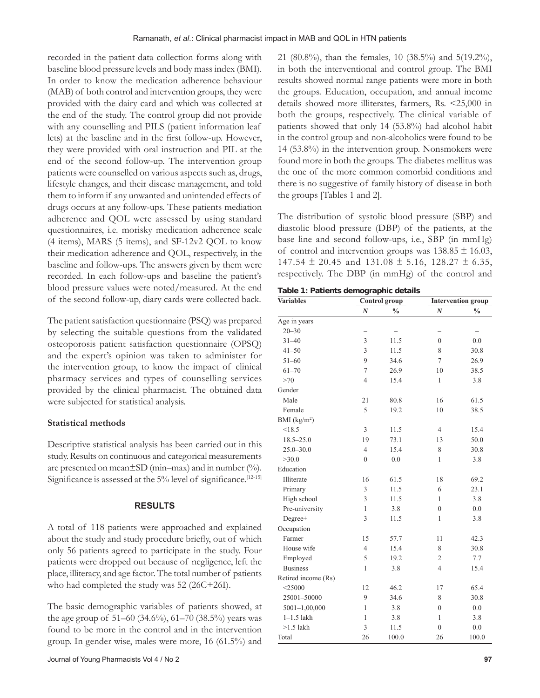recorded in the patient data collection forms along with baseline blood pressure levels and body mass index (BMI). In order to know the medication adherence behaviour (MAB) of both control and intervention groups, they were provided with the dairy card and which was collected at the end of the study. The control group did not provide with any counselling and PILS (patient information leaf lets) at the baseline and in the first follow-up. However, they were provided with oral instruction and PIL at the end of the second follow-up. The intervention group patients were counselled on various aspects such as, drugs, lifestyle changes, and their disease management, and told them to inform if any unwanted and unintended effects of drugs occurs at any follow-ups. These patients mediation adherence and QOL were assessed by using standard questionnaires, i.e. morisky medication adherence scale (4 items), MARS (5 items), and SF-12v2 QOL to know their medication adherence and QOL, respectively, in the baseline and follow-ups. The answers given by them were recorded. In each follow-ups and baseline the patient's blood pressure values were noted/measured. At the end of the second follow-up, diary cards were collected back.

The patient satisfaction questionnaire (PSQ) was prepared by selecting the suitable questions from the validated osteoporosis patient satisfaction questionnaire (OPSQ) and the expert's opinion was taken to administer for the intervention group, to know the impact of clinical pharmacy services and types of counselling services provided by the clinical pharmacist. The obtained data were subjected for statistical analysis.

### **Statistical methods**

Descriptive statistical analysis has been carried out in this study. Results on continuous and categorical measurements are presented on mean $\pm$ SD (min-max) and in number (%). Significance is assessed at the  $5\%$  level of significance.<sup>[12-15]</sup>

### **RESULTS**

A total of 118 patients were approached and explained about the study and study procedure briefly, out of which only 56 patients agreed to participate in the study. Four patients were dropped out because of negligence, left the place, illiteracy, and age factor. The total number of patients who had completed the study was 52 (26C+26I).

The basic demographic variables of patients showed, at the age group of 51–60 (34.6%), 61–70 (38.5%) years was found to be more in the control and in the intervention group. In gender wise, males were more, 16 (61.5%) and 21 (80.8%), than the females, 10 (38.5%) and 5(19.2%), in both the interventional and control group. The BMI results showed normal range patients were more in both the groups. Education, occupation, and annual income details showed more illiterates, farmers, Rs. <25,000 in both the groups, respectively. The clinical variable of patients showed that only 14 (53.8%) had alcohol habit in the control group and non-alcoholics were found to be 14 (53.8%) in the intervention group. Nonsmokers were found more in both the groups. The diabetes mellitus was the one of the more common comorbid conditions and there is no suggestive of family history of disease in both the groups [Tables 1 and 2].

The distribution of systolic blood pressure (SBP) and diastolic blood pressure (DBP) of the patients, at the base line and second follow-ups, i.e., SBP (in mmHg) of control and intervention groups was  $138.85 \pm 16.03$ ,  $147.54 \pm 20.45$  and  $131.08 \pm 5.16$ ,  $128.27 \pm 6.35$ , respectively. The DBP (in mmHg) of the control and

**Table 1: Patients demographic details**

| <b>Variables</b>    | Control group    |               |                  | <b>Intervention group</b> |  |
|---------------------|------------------|---------------|------------------|---------------------------|--|
|                     | $\boldsymbol{N}$ | $\frac{0}{0}$ | $\boldsymbol{N}$ | $\frac{0}{0}$             |  |
| Age in years        |                  |               |                  |                           |  |
| $20 - 30$           |                  |               |                  |                           |  |
| $31 - 40$           | 3                | 11.5          | $\mathbf{0}$     | 0.0                       |  |
| $41 - 50$           | 3                | 11.5          | 8                | 30.8                      |  |
| $51 - 60$           | 9                | 34.6          | $\overline{7}$   | 26.9                      |  |
| $61 - 70$           | $\overline{7}$   | 26.9          | 10               | 38.5                      |  |
| >70                 | $\overline{4}$   | 15.4          | 1                | 3.8                       |  |
| Gender              |                  |               |                  |                           |  |
| Male                | 21               | 80.8          | 16               | 61.5                      |  |
| Female              | 5                | 19.2          | 10               | 38.5                      |  |
| BMI $(kg/m2)$       |                  |               |                  |                           |  |
| < 18.5              | 3                | 11.5          | $\overline{4}$   | 15.4                      |  |
| $18.5 - 25.0$       | 19               | 73.1          | 13               | 50.0                      |  |
| $25.0 - 30.0$       | $\overline{4}$   | 15.4          | 8                | 30.8                      |  |
| >30.0               | $\overline{0}$   | 0.0           | 1                | 3.8                       |  |
| Education           |                  |               |                  |                           |  |
| Illiterate          | 16               | 61.5          | 18               | 69.2                      |  |
| Primary             | 3                | 11.5          | 6                | 23.1                      |  |
| High school         | 3                | 11.5          | 1                | 3.8                       |  |
| Pre-university      | 1                | 3.8           | $\mathbf{0}$     | 0.0                       |  |
| Degree+             | 3                | 11.5          | 1                | 3.8                       |  |
| Occupation          |                  |               |                  |                           |  |
| Farmer              | 15               | 57.7          | 11               | 42.3                      |  |
| House wife          | $\overline{4}$   | 15.4          | 8                | 30.8                      |  |
| Employed            | 5                | 19.2          | $\overline{2}$   | 7.7                       |  |
| <b>Business</b>     | $\mathbf{1}$     | 3.8           | $\overline{4}$   | 15.4                      |  |
| Retired income (Rs) |                  |               |                  |                           |  |
| $<$ 25000           | 12               | 46.2          | 17               | 65.4                      |  |
| 25001-50000         | 9                | 34.6          | 8                | 30.8                      |  |
| $5001 - 1,00,000$   | $\mathbf{1}$     | 3.8           | $\boldsymbol{0}$ | 0.0                       |  |
| $1-1.5$ lakh        | $\mathbf{1}$     | 3.8           | 1                | 3.8                       |  |
| $>1.5$ lakh         | 3                | 11.5          | $\overline{0}$   | 0.0                       |  |
| Total               | 26               | 100.0         | 26               | 100.0                     |  |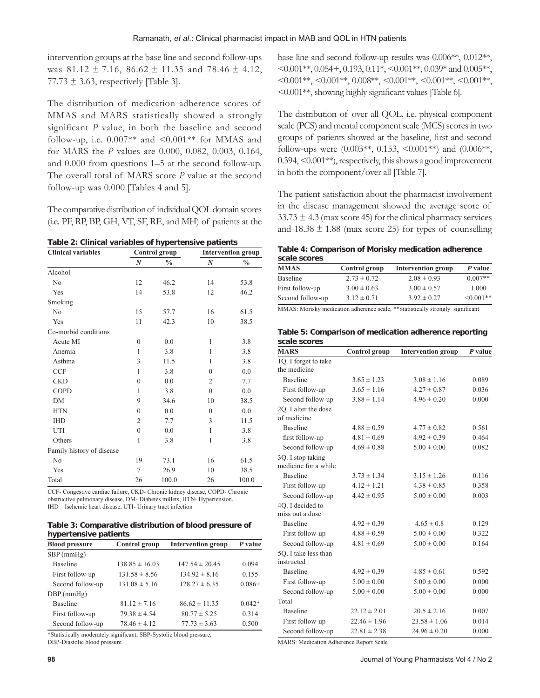intervention groups at the base line and second follow-ups was  $81.12 \pm 7.16$ ,  $86.62 \pm 11.35$  and  $78.46 \pm 4.12$ , 77.73  $\pm$  3.63, respectively [Table 3].

The distribution of medication adherence scores of MMAS and MARS statistically showed a strongly significant  $P$  value, in both the baseline and second follow-up, i.e.  $0.007**$  and  $\leq 0.001**$  for MMAS and for MARS the *P* values are 0.000, 0.082, 0.003, 0.164, and 0.000 from questions 1–5 at the second follow-up. The overall total of MARS score *P* value at the second follow-up was 0.000 [Tables 4 and 5].

The comparative distribution of individual QOL domain scores (i.e. PF, RP, BP, GH, VT, SF, RE, and MH) of patients at the

**Table 2: Clinical variables of hypertensive patients**

| <b>Clinical variables</b> | Control group    |               | <b>Intervention group</b> |               |
|---------------------------|------------------|---------------|---------------------------|---------------|
|                           | $\boldsymbol{N}$ | $\frac{0}{0}$ | $\boldsymbol{N}$          | $\frac{0}{0}$ |
| Alcohol                   |                  |               |                           |               |
| N <sub>0</sub>            | 12               | 46.2          | 14                        | 53.8          |
| Yes                       | 14               | 53.8          | 12                        | 46.2          |
| Smoking                   |                  |               |                           |               |
| N <sub>0</sub>            | 15               | 57.7          | 16                        | 61.5          |
| Yes                       | 11               | 42.3          | 10                        | 38.5          |
| Co-morbid conditions      |                  |               |                           |               |
| Acute MI                  | $\theta$         | 0.0           | 1                         | 3.8           |
| Anemia                    | 1                | 3.8           | 1                         | 3.8           |
| Asthma                    | 3                | 11.5          | 1                         | 3.8           |
| <b>CCF</b>                | 1                | 3.8           | $\theta$                  | 0.0           |
| <b>CKD</b>                | $\theta$         | 0.0           | $\overline{2}$            | 7.7           |
| <b>COPD</b>               | 1                | 3.8           | $\theta$                  | 0.0           |
| <b>DM</b>                 | 9                | 34.6          | 10                        | 38.5          |
| <b>HTN</b>                | $\mathbf{0}$     | 0.0           | $\theta$                  | 0.0           |
| <b>IHD</b>                | $\overline{2}$   | 7.7           | 3                         | 11.5          |
| UTI                       | $\mathbf{0}$     | 0.0           | 1                         | 3.8           |
| Others                    | 1                | 3.8           | 1                         | 3.8           |
| Family history of disease |                  |               |                           |               |
| N <sub>0</sub>            | 19               | 73.1          | 16                        | 61.5          |
| Yes                       | $\overline{7}$   | 26.9          | 10                        | 38.5          |
| Total                     | 26               | 100.0         | 26                        | 100.0         |

CCF- Congestive cardiac failure, CKD- Chronic kidney disease, COPD- Chronic obstructive pulmonary disease, DM- Diabetes millets, HTN- Hypertension, IHD – Ischemic heart disease, UTI- Urinary tract infection

**Table 3: Comparative distribution of blood pressure of hypertensive patients**

| <b>Blood pressure</b> | Control group      | <b>Intervention group</b> | P value  |
|-----------------------|--------------------|---------------------------|----------|
| $SBP$ (mmHg)          |                    |                           |          |
| Baseline              | $138.85 \pm 16.03$ | $147.54 \pm 20.45$        | 0.094    |
| First follow-up       | $131.58 \pm 8.56$  | $134.92 \pm 8.16$         | 0.155    |
| Second follow-up      | $131.08 \pm 5.16$  | $128.27 \pm 6.35$         | $0.086+$ |
| $DBP$ (mm $Hg$ )      |                    |                           |          |
| <b>Baseline</b>       | $81.12 \pm 7.16$   | $86.62 \pm 11.35$         | $0.042*$ |
| First follow-up       | $79.38 \pm 4.54$   | $80.77 \pm 5.25$          | 0.314    |
| Second follow-up      | $78.46 \pm 4.12$   | $77.73 \pm 3.63$          | 0.500    |

\*Statistically moderately significant, SBP-Systolic blood pressure,

DBP-Diastolic blood pressure

The distribution of over all QOL, i.e. physical component scale (PCS) and mental component scale (MCS) scores in two groups of patients showed at the baseline, first and second follow-ups were  $(0.003**, 0.153, \leq 0.001**)$  and  $(0.006**,$ 0.394, <0.001\*\*), respectively, this shows a good improvement in both the component/over all [Table 7].

The patient satisfaction about the pharmacist involvement in the disease management showed the average score of  $33.73 \pm 4.3$  (max score 45) for the clinical pharmacy services and  $18.38 \pm 1.88$  (max score 25) for types of counselling

**Table 4: Comparison of Morisky medication adherence scale scores**

| <u>33419 3331 33</u> |                 |                    |             |
|----------------------|-----------------|--------------------|-------------|
| MMAS                 | Control group   | Intervention group | P value     |
| Baseline             | $2.73 \pm 0.72$ | $2.08 \pm 0.93$    | $0.007**$   |
| First follow-up      | $3.00 \pm 0.63$ | $3.00 \pm 0.57$    | 1.000       |
| Second follow-up     | $3.12 \pm 0.71$ | $3.92 \pm 0.27$    | $< 0.001**$ |
|                      |                 | $\mathbf{M}$       |             |

MMAS: Morisky medication adherence scale, \*\* Statistically strongly significant

**Table 5: Comparison of medication adherence reporting scale scores**

| <b>MARS</b>          | Control group    | <b>Intervention group</b> | $P$ value |
|----------------------|------------------|---------------------------|-----------|
| 1Q. I forget to take |                  |                           |           |
| the medicine         |                  |                           |           |
| <b>Baseline</b>      | $3.65 \pm 1.23$  | $3.08 \pm 1.16$           | 0.089     |
| First follow-up      | $3.65 \pm 1.16$  | $4.27 \pm 0.87$           | 0.036     |
| Second follow-up     | $3.88 \pm 1.14$  | $4.96 \pm 0.20$           | 0.000     |
| 2O. I alter the dose |                  |                           |           |
| of medicine          |                  |                           |           |
| <b>Baseline</b>      | $4.88 \pm 0.59$  | $4.77 \pm 0.82$           | 0.561     |
| first follow-up      | $4.81 \pm 0.69$  | $4.92 \pm 0.39$           | 0.464     |
| Second follow-up     | $4.69 \pm 0.88$  | $5.00 \pm 0.00$           | 0.082     |
| 3Q. I stop taking    |                  |                           |           |
| medicine for a while |                  |                           |           |
| <b>Baseline</b>      | $3.73 \pm 1.34$  | $3.15 \pm 1.26$           | 0.116     |
| First follow-up      | $4.12 \pm 1.21$  | $4.38 \pm 0.85$           | 0.358     |
| Second follow-up     | $4.42 \pm 0.95$  | $5.00 \pm 0.00$           | 0.003     |
| 40. I decided to     |                  |                           |           |
| miss out a dose      |                  |                           |           |
| <b>Baseline</b>      | $4.92 \pm 0.39$  | $4.65 \pm 0.8$            | 0.129     |
| First follow-up      | $4.88 \pm 0.59$  | $5.00 \pm 0.00$           | 0.322     |
| Second follow-up     | $4.81 \pm 0.69$  | $5.00 \pm 0.00$           | 0.164     |
| 5O. I take less than |                  |                           |           |
| instructed           |                  |                           |           |
| <b>Baseline</b>      | $4.92 \pm 0.39$  | $4.85 \pm 0.61$           | 0.592     |
| First follow-up      | $5.00 \pm 0.00$  | $5.00 \pm 0.00$           | 0.000     |
| Second follow-up     | $5.00 \pm 0.00$  | $5.00 \pm 0.00$           | 0.000     |
| Total                |                  |                           |           |
| <b>Baseline</b>      | $22.12 \pm 2.01$ | $20.5 \pm 2.16$           | 0.007     |
| First follow-up      | $22.46 \pm 1.96$ | $23.58 \pm 1.06$          | 0.014     |
| Second follow-up     | $22.81 \pm 2.38$ | $24.96 \pm 0.20$          | 0.000     |

MARS: Medication Adherence Report Scale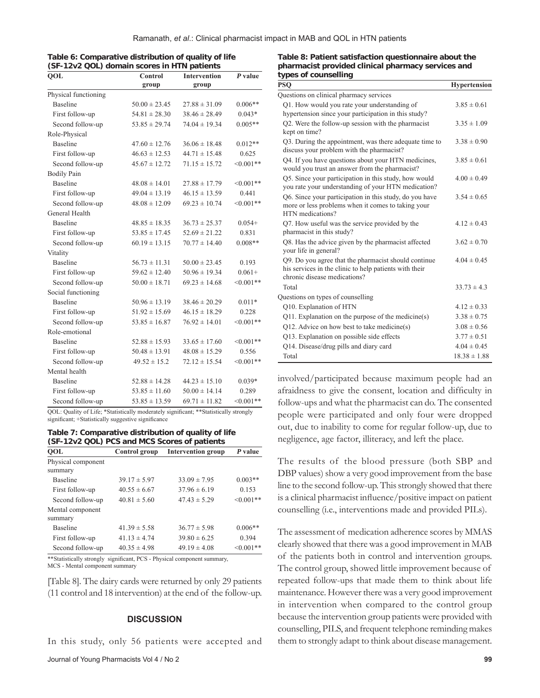| Table 6: Comparative distribution of quality of life |
|------------------------------------------------------|
| (SF-12v2 QOL) domain scores in HTN patients          |

| QOL                  | Control           | <b>Intervention</b> | P value    |
|----------------------|-------------------|---------------------|------------|
|                      | group             | group               |            |
| Physical functioning |                   |                     |            |
| <b>Baseline</b>      | $50.00 \pm 23.45$ | $27.88 \pm 31.09$   | $0.006**$  |
| First follow-up      | $54.81 \pm 28.30$ | $38.46 \pm 28.49$   | $0.043*$   |
| Second follow-up     | $53.85 \pm 29.74$ | $74.04 \pm 19.34$   | $0.005**$  |
| Role-Physical        |                   |                     |            |
| Baseline             | $47.60 \pm 12.76$ | $36.06 \pm 18.48$   | $0.012**$  |
| First follow-up      | $46.63 \pm 12.53$ | $44.71 \pm 15.48$   | 0.625      |
| Second follow-up     | $45.67 \pm 12.72$ | $71.15 \pm 15.72$   | $<0.001**$ |
| <b>Bodily Pain</b>   |                   |                     |            |
| <b>Baseline</b>      | $48.08 \pm 14.01$ | $27.88 \pm 17.79$   | $<0.001**$ |
| First follow-up      | $49.04 \pm 13.19$ | $46.15 \pm 13.59$   | 0.441      |
| Second follow-up     | $48.08 \pm 12.09$ | $69.23 \pm 10.74$   | $<0.001**$ |
| General Health       |                   |                     |            |
| <b>Baseline</b>      | $48.85 \pm 18.35$ | $36.73 \pm 25.37$   | $0.054+$   |
| First follow-up      | $53.85 \pm 17.45$ | $52.69 \pm 21.22$   | 0.831      |
| Second follow-up     | $60.19 \pm 13.15$ | $70.77 \pm 14.40$   | $0.008**$  |
| Vitality             |                   |                     |            |
| <b>Baseline</b>      | $56.73 \pm 11.31$ | $50.00 \pm 23.45$   | 0.193      |
| First follow-up      | $59.62 \pm 12.40$ | $50.96 \pm 19.34$   | $0.061+$   |
| Second follow-up     | $50.00 \pm 18.71$ | $69.23 \pm 14.68$   | $<0.001**$ |
| Social functioning   |                   |                     |            |
| <b>Baseline</b>      | $50.96 \pm 13.19$ | $38.46 \pm 20.29$   | $0.011*$   |
| First follow-up      | $51.92 \pm 15.69$ | $46.15 \pm 18.29$   | 0.228      |
| Second follow-up     | $53.85 \pm 16.87$ | $76.92 \pm 14.01$   | $<0.001**$ |
| Role-emotional       |                   |                     |            |
| Baseline             | $52.88 \pm 15.93$ | $33.65 \pm 17.60$   | $<0.001**$ |
| First follow-up      | $50.48 \pm 13.91$ | $48.08 \pm 15.29$   | 0.556      |
| Second follow-up     | $49.52 \pm 15.2$  | $72.12 \pm 15.54$   | $<0.001**$ |
| Mental health        |                   |                     |            |
| Baseline             | $52.88 \pm 14.28$ | $44.23 \pm 15.10$   | $0.039*$   |
| First follow-up      | $53.85 \pm 11.60$ | $50.00 \pm 14.14$   | 0.289      |
| Second follow-up     | $53.85 \pm 13.59$ | $69.71 \pm 11.82$   | $<0.001**$ |

QOL: Quality of Life; \*Statistically moderately significant; \*\*Statistically strongly significant; +Statistically suggestive significance

**Table 7: Comparative distribution of quality of life (SF-12v2 QOL) PCS and MCS Scores of patients**

| <b>QOL</b>                    | Control group    | <b>Intervention group</b> | P value        |
|-------------------------------|------------------|---------------------------|----------------|
| Physical component<br>summary |                  |                           |                |
| <b>Baseline</b>               | $39.17 \pm 5.97$ | $33.09 \pm 7.95$          | $0.003**$      |
| First follow-up               | $40.55 \pm 6.67$ | $37.96 \pm 6.19$          | 0.153          |
| Second follow-up              | $40.81 \pm 5.60$ | $47.43 \pm 5.29$          | $< 0.001**$    |
| Mental component<br>summary   |                  |                           |                |
| <b>Baseline</b>               | $41.39 \pm 5.58$ | $36.77 \pm 5.98$          | $0.006**$      |
| First follow-up               | $41.13 \pm 4.74$ | $39.80 \pm 6.25$          | 0.394          |
| Second follow-up              | $40.35 \pm 4.98$ | $49.19 \pm 4.08$          | $\leq 0.001**$ |

\*\*Statistically strongly significant, PCS - Physical component summary, MCS - Mental component summary

[Table 8]. The dairy cards were returned by only 29 patients (11 control and 18 intervention) at the end of the follow-up.

#### **DISCUSSION**

In this study, only 56 patients were accepted and

#### **Table 8: Patient satisfaction questionnaire about the pharmacist provided clinical pharmacy services and types of counselling**

| PSO                                                                                                                                            | <b>Hypertension</b> |
|------------------------------------------------------------------------------------------------------------------------------------------------|---------------------|
| Questions on clinical pharmacy services                                                                                                        |                     |
| Q1. How would you rate your understanding of                                                                                                   |                     |
| hypertension since your participation in this study?                                                                                           | $3.85 \pm 0.61$     |
| Q2. Were the follow-up session with the pharmacist                                                                                             | $3.35 \pm 1.09$     |
| kept on time?                                                                                                                                  |                     |
| Q3. During the appointment, was there adequate time to<br>discuss your problem with the pharmacist?                                            | $3.38 \pm 0.90$     |
| Q4. If you have questions about your HTN medicines,<br>would you trust an answer from the pharmacist?                                          | $3.85 \pm 0.61$     |
| Q5. Since your participation in this study, how would<br>you rate your understanding of your HTN medication?                                   | $4.00 \pm 0.49$     |
| Q6. Since your participation in this study, do you have<br>more or less problems when it comes to taking your<br>HTN medications?              | $3.54 \pm 0.65$     |
| Q7. How useful was the service provided by the<br>pharmacist in this study?                                                                    | $4.12 \pm 0.43$     |
| Q8. Has the advice given by the pharmacist affected<br>your life in general?                                                                   | $3.62 \pm 0.70$     |
| Q9. Do you agree that the pharmacist should continue<br>his services in the clinic to help patients with their<br>chronic disease medications? | $4.04 \pm 0.45$     |
| Total                                                                                                                                          | $33.73 \pm 4.3$     |
| Questions on types of counselling                                                                                                              |                     |
| Q10. Explanation of HTN                                                                                                                        | $4.12 \pm 0.33$     |
| $Q11$ . Explanation on the purpose of the medicine(s)                                                                                          | $3.38 \pm 0.75$     |
| $Q12$ . Advice on how best to take medicine(s)                                                                                                 | $3.08 \pm 0.56$     |
| Q13. Explanation on possible side effects                                                                                                      | $3.77 \pm 0.51$     |
| Q14. Disease/drug pills and diary card                                                                                                         | $4.04 \pm 0.45$     |
| Total                                                                                                                                          | $18.38 \pm 1.88$    |

involved/participated because maximum people had an afraidness to give the consent, location and difficulty in follow-ups and what the pharmacist can do. The consented people were participated and only four were dropped out, due to inability to come for regular follow-up, due to negligence, age factor, illiteracy, and left the place.

The results of the blood pressure (both SBP and DBP values) show a very good improvement from the base line to the second follow-up. This strongly showed that there is a clinical pharmacist influence/positive impact on patient counselling (i.e., interventions made and provided PILs).

The assessment of medication adherence scores by MMAS clearly showed that there was a good improvement in MAB of the patients both in control and intervention groups. The control group, showed little improvement because of repeated follow-ups that made them to think about life maintenance. However there was a very good improvement in intervention when compared to the control group because the intervention group patients were provided with counselling, PILS, and frequent telephone reminding makes them to strongly adapt to think about disease management.